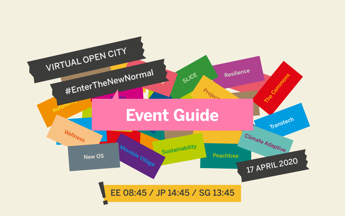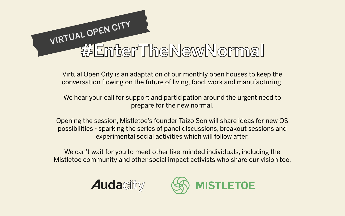Virtual Open City is an adaptation of our monthly open houses to keep the conversation flowing on the future of living, food, work and manufacturing.

We hear your call for support and participation around the urgent need to prepare for the new normal.

We can't wait for you to meet other like-minded individuals, including the Mistletoe community and other social impact activists who share our vision too.





Opening the session, Mistletoe's founder Taizo Son will share ideas for new OS possibilities - sparking the series of panel discussions, breakout sessions and experimental social activities which will follow after.

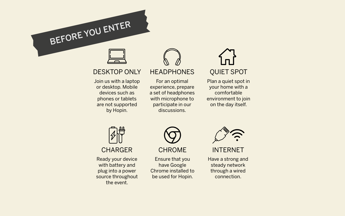BEFORE YOU ENTER

For an optimal experience, prepare a set of headphones with microphone to participate in our discussions.

# DESKTOP ONLY

Join us with a laptop or desktop. Mobile devices such as phones or tablets are not supported by Hopin.



# **HEADPHONES**



Plan a quiet spot in your home with a comfortable environment to join on the day itself.



Ready your device with battery and plug into a power source throughout the event.



Ensure that you have Google Chrome installed to be used for Hopin.



INTERNET

Have a strong and steady network through a wired connection.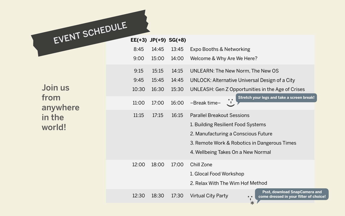| EVENT SCHEDULE                                  |       |       |                              |                                                                                                                                               |
|-------------------------------------------------|-------|-------|------------------------------|-----------------------------------------------------------------------------------------------------------------------------------------------|
|                                                 |       |       | $EE(+3)$ JP $(+9)$ SG $(+8)$ |                                                                                                                                               |
| Join us<br>from<br>anywhere<br>in the<br>world! | 8:45  | 14:45 | 13:45                        | <b>Expo Booths &amp; Network</b>                                                                                                              |
|                                                 | 9:00  | 15:00 | 14:00                        | Welcome & Why Are We                                                                                                                          |
|                                                 | 9:15  | 15:15 | 14:15                        | <b>UNLEARN: The New Nor</b>                                                                                                                   |
|                                                 | 9:45  | 15:45 | 14:45                        | <b>UNLOCK: Alternative Un</b>                                                                                                                 |
|                                                 | 10:30 | 16:30 | 15:30                        | <b>UNLEASH: Gen Z Oppor</b>                                                                                                                   |
|                                                 | 11:00 | 17:00 | 16:00                        | <b>Str</b><br>-Break time-                                                                                                                    |
|                                                 | 11:15 | 17:15 | 16:15                        | <b>Parallel Breakout Sessio</b><br>1. Building Resilient Food<br>2. Manufacturing a Cons<br>3. Remote Work & Robot<br>4. Wellbeing Takes On a |
|                                                 | 12:00 | 18:00 | 17:00                        | <b>Chill Zone</b><br>1. Glocal Food Workshop<br>2. Relax With The Wim H                                                                       |
|                                                 | 12:30 | 18:30 | 17:30                        | <b>Virtual City Party</b>                                                                                                                     |

 $\mathop{\text{img}}$ Here?

rm, The New OS

niversal Design of a City

tunities in the Age of Crises

**Stretch your legs and take a screen break!**

paral

d Systems

scious Future

tics in Dangerous Times

New Normal

Iof Method

:<br>:<br>\*

**Psst, download SnapCamera and come dressed in your filter of choice!**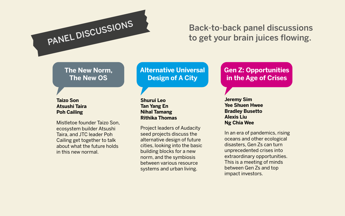#### **Taizo Son Atsushi Taira Poh Cailing**

#### **Shurui Leo Tan Yang En Nihal Tamang Rithika Thomas**

**Jeremy Sim Yee Shuen Hwee Bradley Busetto Alexis Liu Ng Chia Wee**

# PANEL DISCUSSIONS

# **The New Norm, The New OS**

# **Alternative Universal Design of A City**

# **Gen Z: Opportunities in the Age of Crises**

Mistletoe founder Taizo Son, ecosystem builder Atsushi Taira, and JTC leader Poh Cailing get together to talk about what the future holds in this new normal.

Project leaders of Audacity seed projects discuss the alternative design of future cities, looking into the basic building blocks for a new norm, and the symbiosis between various resource systems and urban living.

In an era of pandemics, rising oceans and other ecological disasters, Gen Zs can turn unprecedented crises into extraordinary opportunities. This is a meeting of minds between Gen Zs and top impact investors.

# Back-to-back panel discussions to get your brain juices flowing.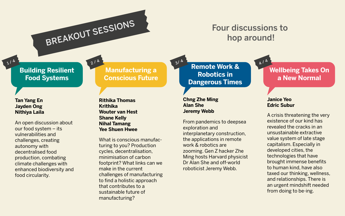#### **Tan Yang En Jayden Ong Nithiya Laila**

1/4

**Rithika Thomas Krithika Wouter van Hest Shane Kelly Nihal Tamang Yee Shuen Hwee**

#### **Chng Zhe Ming Alan She Jeremy Webb**

#### **Janice Yeo Edric Subur**

BREAKOUT SESSIONS

214

# **Building Resilient Food Systems**

# **Manufacturing a Conscious Future**

**Remote Work & Robotics in Dangerous Times**

An open discussion about our food system – its vulnerabilities and challenges, creating autonomy with decentralised food production, combating climate challenges with enhanced biodiversity and food circularity.

What is conscious manufacturing to you? Production cycles, decentralisation, minimisation of carbon footprint? What links can we make in the current challenges of manufacturing to find a holistic approach that contributes to a sustainable future of manufacturing?

From pandemics to deepsea exploration and interplanetary construction, the applications in remote work & robotics are zooming. Gen Z hacker Zhe Ming hosts Harvard physicist Dr Alan She and off-world roboticist Jeremy Webb.

# **Wellbeing Takes On a New Normal**

A crisis threatening the very existence of our kind has revealed the cracks in an unsustainable extractive value system of late stage capitalism. Especially in developed cities, the technologies that have brought immense benefits to human kind, have also taxed our thinking, wellness, and relationships. There is an urgent mindshift needed from doing to be-ing.

3/ 4

# Four discussions to hop around!

4 / 4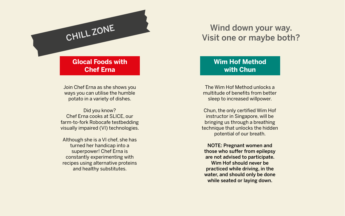Join Chef Erna as she shows you ways you can utilise the humble potato in a variety of dishes.

Did you know? Chef Erna cooks at SLICE, our farm-to-fork Robocafe testbedding visually impaired (VI) technologies.

Although she is a VI chef, she has turned her handicap into a superpower! Chef Erna is constantly experimenting with recipes using alternative proteins and healthy substitutes.

The Wim Hof Method unlocks a multitude of benefits from better sleep to increased willpower.

# CHILL ZONE Wind down your way. Visit one or maybe both?

Chun, the only certified Wim Hof instructor in Singapore, will be bringing us through a breathing technique that unlocks the hidden potential of our breath.

NOTE: Pregnant women and those who suffer from epilepsy are not advised to participate. Wim Hof should never be practiced while driving, in the water, and should only be done while seated or laying down.

### **Glocal Foods with Chef Erna**

# **Wim Hof Method with Chun**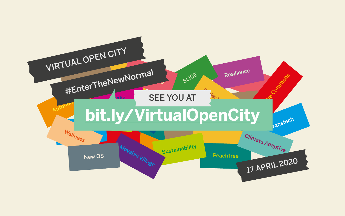